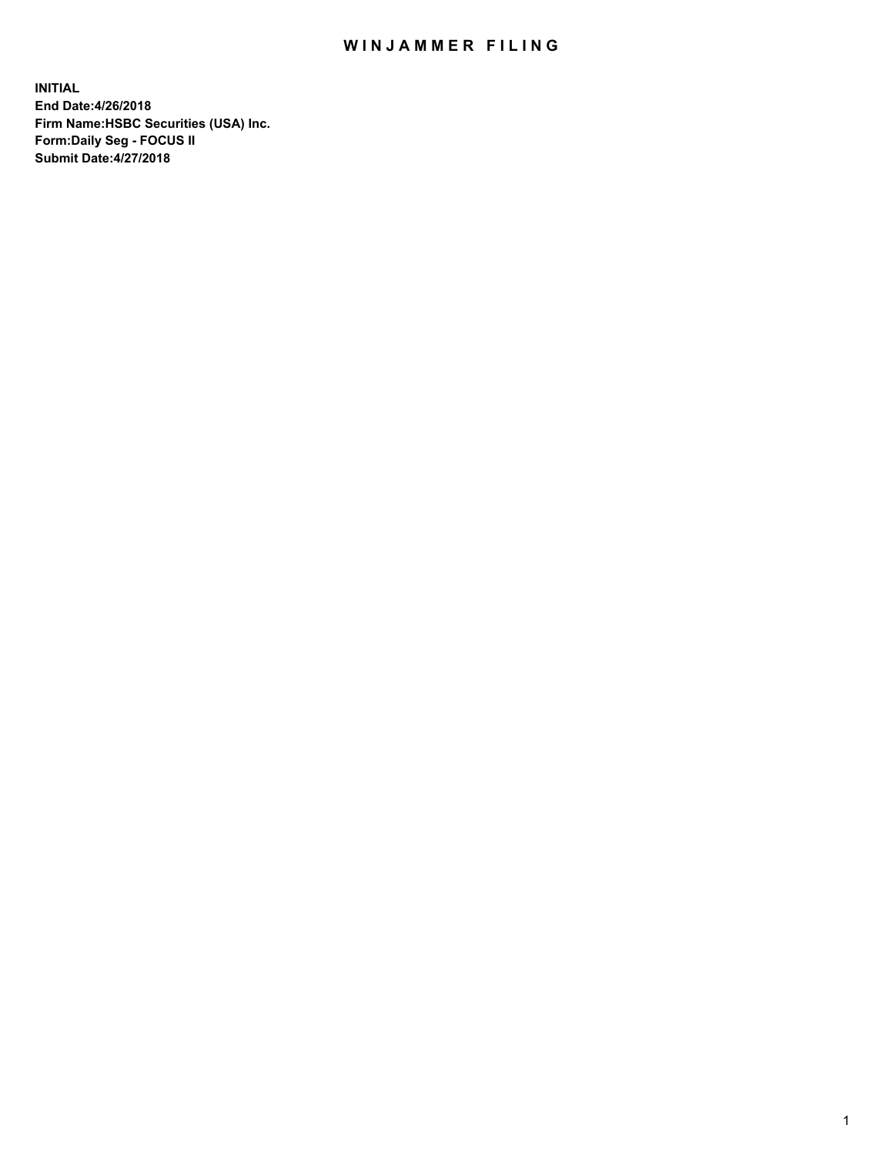## WIN JAMMER FILING

**INITIAL End Date:4/26/2018 Firm Name:HSBC Securities (USA) Inc. Form:Daily Seg - FOCUS II Submit Date:4/27/2018**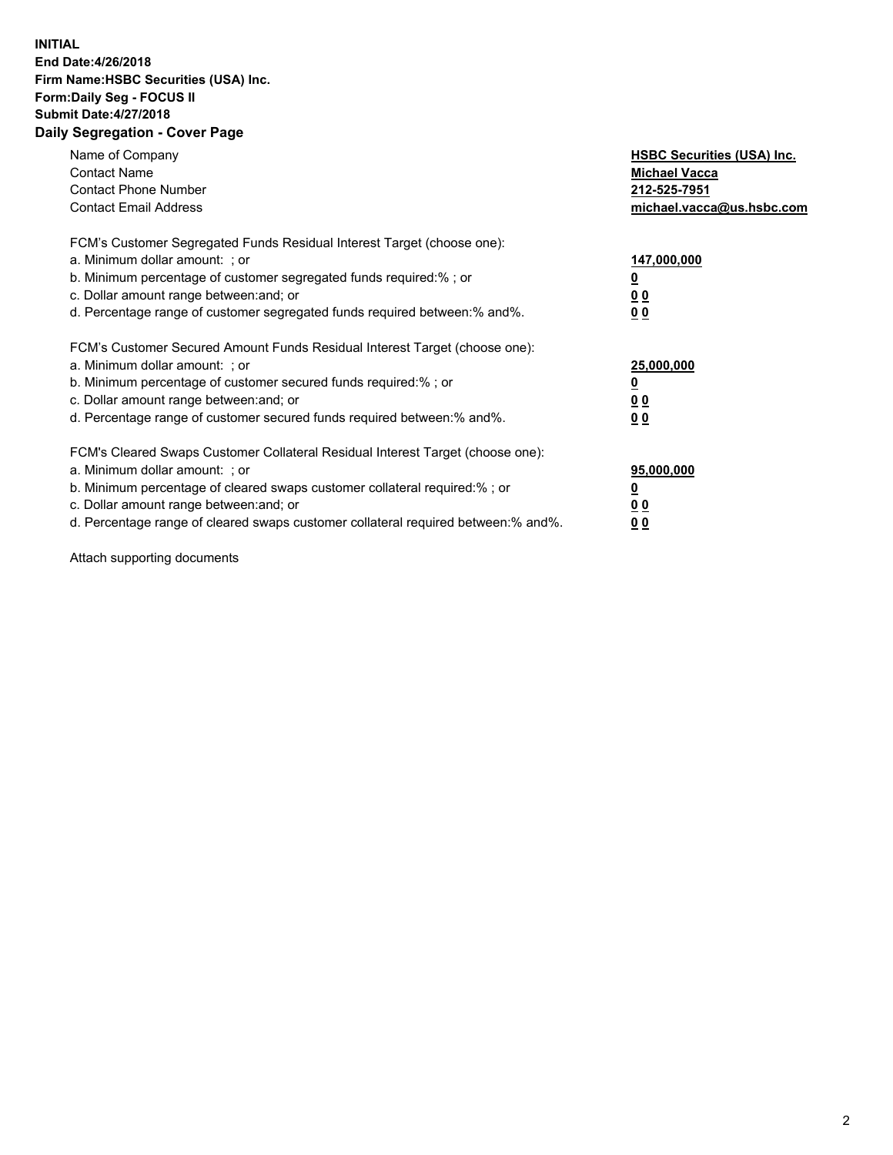## **INITIAL End Date:4/26/2018 Firm Name:HSBC Securities (USA) Inc. Form:Daily Seg - FOCUS II Submit Date:4/27/2018 Daily Segregation - Cover Page**

| Name of Company<br><b>Contact Name</b><br><b>Contact Phone Number</b><br><b>Contact Email Address</b>                                                                                                                                                                                                                         | <b>HSBC Securities (USA) Inc.</b><br><b>Michael Vacca</b><br>212-525-7951<br>michael.vacca@us.hsbc.com |
|-------------------------------------------------------------------------------------------------------------------------------------------------------------------------------------------------------------------------------------------------------------------------------------------------------------------------------|--------------------------------------------------------------------------------------------------------|
| FCM's Customer Segregated Funds Residual Interest Target (choose one):<br>a. Minimum dollar amount: ; or<br>b. Minimum percentage of customer segregated funds required:%; or<br>c. Dollar amount range between: and; or<br>d. Percentage range of customer segregated funds required between: % and %.                       | 147,000,000<br><u>0</u><br><u>00</u><br>00                                                             |
| FCM's Customer Secured Amount Funds Residual Interest Target (choose one):<br>a. Minimum dollar amount: ; or<br>b. Minimum percentage of customer secured funds required:%; or<br>c. Dollar amount range between: and; or<br>d. Percentage range of customer secured funds required between: % and %.                         | 25,000,000<br><u>0</u><br><u>00</u><br>00                                                              |
| FCM's Cleared Swaps Customer Collateral Residual Interest Target (choose one):<br>a. Minimum dollar amount: ; or<br>b. Minimum percentage of cleared swaps customer collateral required:%; or<br>c. Dollar amount range between: and; or<br>d. Percentage range of cleared swaps customer collateral required between:% and%. | 95,000,000<br><u>0</u><br><u>00</u><br><u>00</u>                                                       |

Attach supporting documents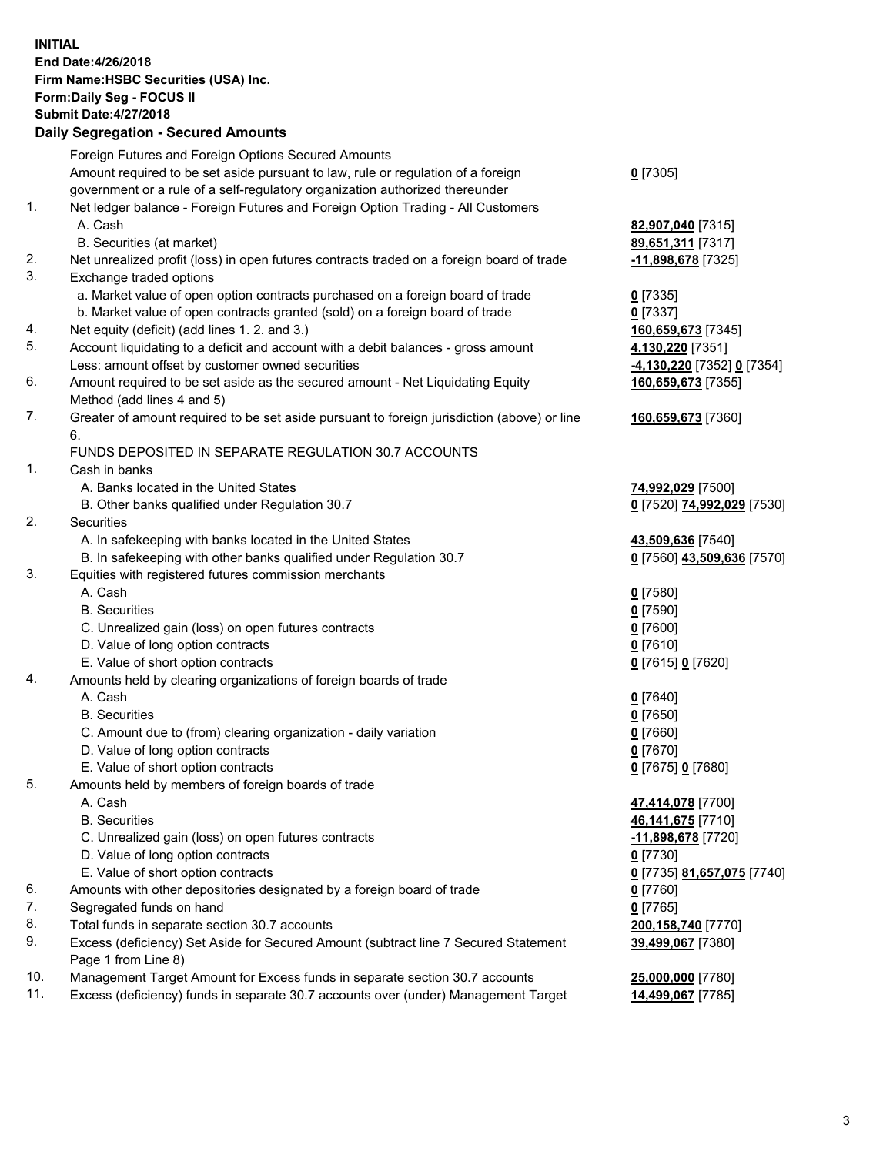**INITIAL End Date:4/26/2018 Firm Name:HSBC Securities (USA) Inc. Form:Daily Seg - FOCUS II Submit Date:4/27/2018 Daily Segregation - Secured Amounts** Foreign Futures and Foreign Options Secured Amounts Amount required to be set aside pursuant to law, rule or regulation of a foreign government or a rule of a self-regulatory organization authorized thereunder 1. Net ledger balance - Foreign Futures and Foreign Option Trading - All Customers A. Cash **82,907,040** [7315] B. Securities (at market) **89,651,311** [7317] 2. Net unrealized profit (loss) in open futures contracts traded on a foreign board of trade **-11,898,678** [7325] 3. Exchange traded options a. Market value of open option contracts purchased on a foreign board of trade **0** [7335] b. Market value of open contracts granted (sold) on a foreign board of trade **0** [7337] 4. Net equity (deficit) (add lines 1. 2. and 3.) **160,659,673** [7345] 5. Account liquidating to a deficit and account with a debit balances - gross amount **4,130,220** [7351] Less: amount offset by customer owned securities **-4,130,220** [7352] **0** [7354] 6. Amount required to be set aside as the secured amount - Net Liquidating Equity Method (add lines 4 and 5)

7. Greater of amount required to be set aside pursuant to foreign jurisdiction (above) or line 6.

## FUNDS DEPOSITED IN SEPARATE REGULATION 30.7 ACCOUNTS

1. Cash in banks

- A. Banks located in the United States **74,992,029** [7500]
- B. Other banks qualified under Regulation 30.7 **0** [7520] **74,992,029** [7530]
- 2. Securities
	- A. In safekeeping with banks located in the United States **43,509,636** [7540]
	- B. In safekeeping with other banks qualified under Regulation 30.7 **0** [7560] **43,509,636** [7570]
- 3. Equities with registered futures commission merchants
	- A. Cash **0** [7580]
	- B. Securities **0** [7590]
	- C. Unrealized gain (loss) on open futures contracts **0** [7600]
	- D. Value of long option contracts **0** [7610]
	- E. Value of short option contracts **0** [7615] **0** [7620]
- 4. Amounts held by clearing organizations of foreign boards of trade
	-
	-
	- C. Amount due to (from) clearing organization daily variation **0** [7660]
	- D. Value of long option contracts **0** [7670]
	- E. Value of short option contracts **0** [7675] **0** [7680]
- 5. Amounts held by members of foreign boards of trade
	-
	-
	- C. Unrealized gain (loss) on open futures contracts **-11,898,678** [7720]
	- D. Value of long option contracts **0** [7730]
	- E. Value of short option contracts **0** [7735] **81,657,075** [7740]
- 6. Amounts with other depositories designated by a foreign board of trade **0** [7760]
- 7. Segregated funds on hand **0** [7765]
- 8. Total funds in separate section 30.7 accounts **200,158,740** [7770]
- 9. Excess (deficiency) Set Aside for Secured Amount (subtract line 7 Secured Statement Page 1 from Line 8)
- 10. Management Target Amount for Excess funds in separate section 30.7 accounts **25,000,000** [7780]
- 11. Excess (deficiency) funds in separate 30.7 accounts over (under) Management Target **14,499,067** [7785]

**160,659,673** [7355]

**160,659,673** [7360]

 A. Cash **0** [7640] B. Securities **0** [7650]

 A. Cash **47,414,078** [7700] B. Securities **46,141,675** [7710] **39,499,067** [7380]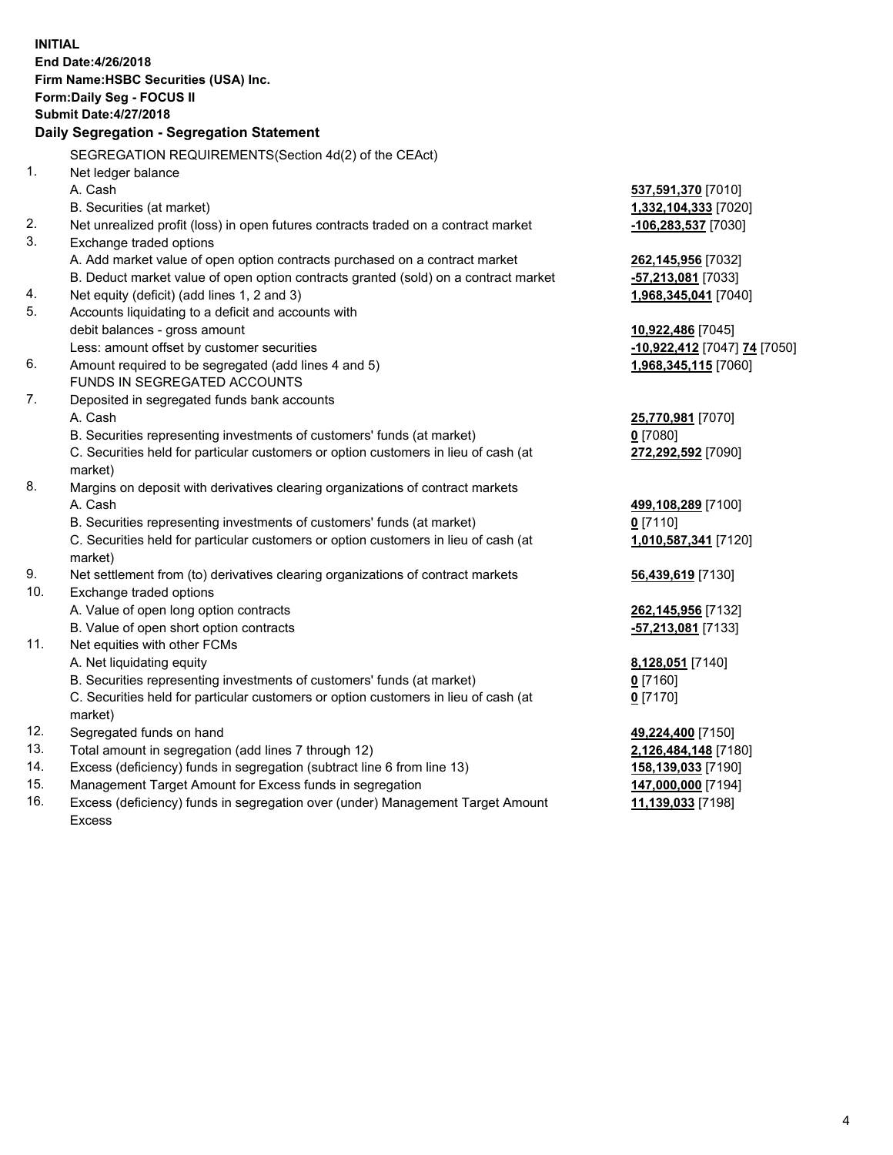**INITIAL End Date:4/26/2018 Firm Name:HSBC Securities (USA) Inc. Form:Daily Seg - FOCUS II Submit Date:4/27/2018 Daily Segregation - Segregation Statement** SEGREGATION REQUIREMENTS(Section 4d(2) of the CEAct) 1. Net ledger balance A. Cash **537,591,370** [7010] B. Securities (at market) **1,332,104,333** [7020] 2. Net unrealized profit (loss) in open futures contracts traded on a contract market **-106,283,537** [7030] 3. Exchange traded options A. Add market value of open option contracts purchased on a contract market **262,145,956** [7032] B. Deduct market value of open option contracts granted (sold) on a contract market **-57,213,081** [7033] 4. Net equity (deficit) (add lines 1, 2 and 3) **1,968,345,041** [7040] 5. Accounts liquidating to a deficit and accounts with debit balances - gross amount **10,922,486** [7045] Less: amount offset by customer securities **-10,922,412** [7047] **74** [7050] 6. Amount required to be segregated (add lines 4 and 5) **1,968,345,115** [7060] FUNDS IN SEGREGATED ACCOUNTS 7. Deposited in segregated funds bank accounts A. Cash **25,770,981** [7070] B. Securities representing investments of customers' funds (at market) **0** [7080] C. Securities held for particular customers or option customers in lieu of cash (at market) **272,292,592** [7090] 8. Margins on deposit with derivatives clearing organizations of contract markets A. Cash **499,108,289** [7100] B. Securities representing investments of customers' funds (at market) **0** [7110] C. Securities held for particular customers or option customers in lieu of cash (at market) **1,010,587,341** [7120] 9. Net settlement from (to) derivatives clearing organizations of contract markets **56,439,619** [7130] 10. Exchange traded options A. Value of open long option contracts **262,145,956** [7132] B. Value of open short option contracts **-57,213,081** [7133] 11. Net equities with other FCMs A. Net liquidating equity **8,128,051** [7140] B. Securities representing investments of customers' funds (at market) **0** [7160] C. Securities held for particular customers or option customers in lieu of cash (at market) **0** [7170] 12. Segregated funds on hand **49,224,400** [7150] 13. Total amount in segregation (add lines 7 through 12) **2,126,484,148** [7180] 14. Excess (deficiency) funds in segregation (subtract line 6 from line 13) **158,139,033** [7190] 15. Management Target Amount for Excess funds in segregation **147,000,000** [7194]

- 
- 16. Excess (deficiency) funds in segregation over (under) Management Target Amount Excess

**11,139,033** [7198]